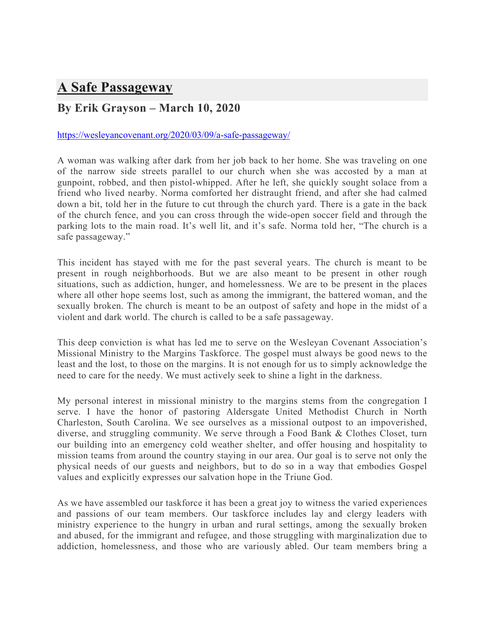## **A Safe Passageway**

## **By Erik Grayson – March 10, 2020**

## https://wesleyancovenant.org/2020/03/09/a-safe-passageway/

A woman was walking after dark from her job back to her home. She was traveling on one of the narrow side streets parallel to our church when she was accosted by a man at gunpoint, robbed, and then pistol-whipped. After he left, she quickly sought solace from a friend who lived nearby. Norma comforted her distraught friend, and after she had calmed down a bit, told her in the future to cut through the church yard. There is a gate in the back of the church fence, and you can cross through the wide-open soccer field and through the parking lots to the main road. It's well lit, and it's safe. Norma told her, "The church is a safe passageway."

This incident has stayed with me for the past several years. The church is meant to be present in rough neighborhoods. But we are also meant to be present in other rough situations, such as addiction, hunger, and homelessness. We are to be present in the places where all other hope seems lost, such as among the immigrant, the battered woman, and the sexually broken. The church is meant to be an outpost of safety and hope in the midst of a violent and dark world. The church is called to be a safe passageway.

This deep conviction is what has led me to serve on the Wesleyan Covenant Association's Missional Ministry to the Margins Taskforce. The gospel must always be good news to the least and the lost, to those on the margins. It is not enough for us to simply acknowledge the need to care for the needy. We must actively seek to shine a light in the darkness.

My personal interest in missional ministry to the margins stems from the congregation I serve. I have the honor of pastoring Aldersgate United Methodist Church in North Charleston, South Carolina. We see ourselves as a missional outpost to an impoverished, diverse, and struggling community. We serve through a Food Bank & Clothes Closet, turn our building into an emergency cold weather shelter, and offer housing and hospitality to mission teams from around the country staying in our area. Our goal is to serve not only the physical needs of our guests and neighbors, but to do so in a way that embodies Gospel values and explicitly expresses our salvation hope in the Triune God.

As we have assembled our taskforce it has been a great joy to witness the varied experiences and passions of our team members. Our taskforce includes lay and clergy leaders with ministry experience to the hungry in urban and rural settings, among the sexually broken and abused, for the immigrant and refugee, and those struggling with marginalization due to addiction, homelessness, and those who are variously abled. Our team members bring a